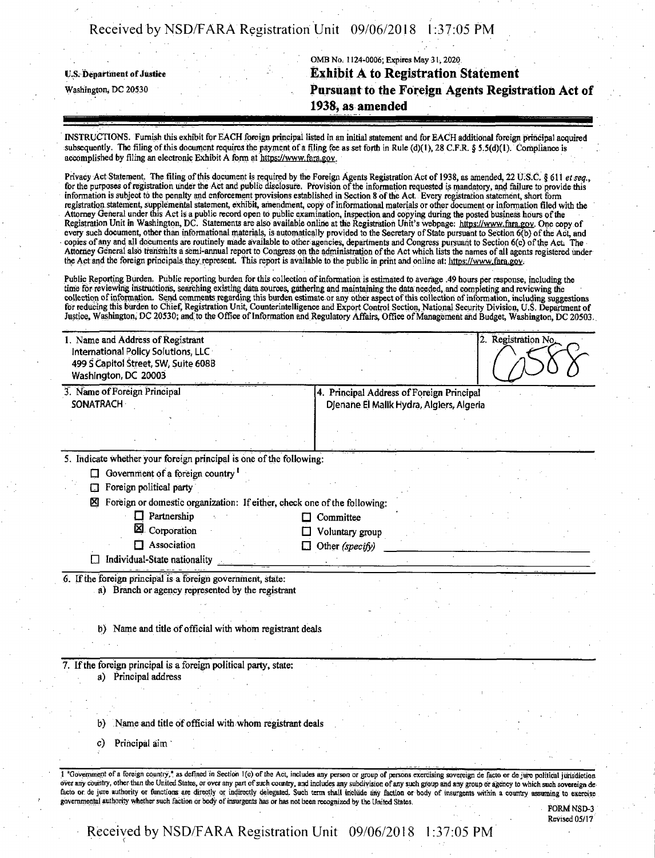OMB No. 1124-0006; Expires May 31,2020 **t.s. Department ofJustice Exhibit A to Registration Statement** Washington, dc <sup>20530</sup> **Pursuant to the Foreign Agents Registration Act of 1938, as amended**

INSTRUCTIONS. Furnish this exhibit for EACH foreign principal listed in an initial statement and for EACH additional foreign principal acquired subsequently. The filing of this document requires the payment of a filing fee as set forth in Rule (d)(1), 28 C.F.R. § 5.5(d)(1). Compliance is accomplished bv filing an electronic Exhibit A form at https://www.fara.gov

Privacy Act Statement. The filing ofthis document is required by the Foreign Agents Registration Act of 1938, as amended, 22 U.S.C. §611 *etseq*., for the purposes ofregistration under the Act and public disclosure. Provision ofthe information requested is mandatory, and failure to provide this information is subject to the penalty and enforcement provisions established in Section 8 ofthe Act. Every registration statement, short form registration statement, supplemental statement, exhibit, amendment, copy of informational materials or other document or information filed with the Attorney General under this Act is a public record open to public examination, inspection and copying during the posted business hours of the example of the example of the example of the example of the example of the examp every such document, other than informational materials, is automatically provided to the Secretary of State pursuant to Section 6(b) of the Act, and copies of any and all documents are routinely made available to other agencies, departments and Congress pursuant to Section 6(c) of the Act. The Attorney General also transmits a semi-annual report to Congress on the administration ofthe Act which lists the names of ail agents registered under the Act and the foreign principals they represent. This report is available to the public in print and online at: https://www.fara.gov.

Public Reporting Burden. Public reporting burden for this collection ofinformation is estimated to average .49 hours per response, including the time for reviewing instructions, searching existing data sources, gathering and maintaining the data needed, and completing and reviewing the collection of information. Send comments regarding this burden estimate or any other aspect of this collection of information, including suggestions for reducing this burden to Chief, Registration Unit, Counterintelligence and Export Control Section, National Security Division, U.S. Department of Justice, Washington, DC 20530; and to the Office of Information and Regulatory Affairs, Office of Management and Budget, Washington, DC 20503.

| 1. Name and Address of Registrant    |                                           | Registration No. |
|--------------------------------------|-------------------------------------------|------------------|
| International Policy Solutions, LLC  |                                           |                  |
| 499 S Capitol Street, SW, Suite 608B |                                           |                  |
| Washington, DC 20003                 |                                           |                  |
| 3. Name of Foreign Principal         | 4. Principal Address of Foreign Principal |                  |

**DJenane El Malik Hydra, Algiers, Algeria**

5. Indicate whether your foreign principal is one of the following:

 $\Box$  Government of a foreign country  $\Box$ 

Foreign political party

**SONATRACH**

0 Foreign or domestic organization: Ifeither, check one ofthe following:

- Partnership Committee
- $13$  Corporation  $13$  Voluntary group
- Association Other *(specify)*
- 

 $\Box$  Individual-State nationality

6. Ifthe foreign principal is a foreign government, state: a) Branch or agency represented by the registrant

b) Name and title of official with whom registrant deals

7. If the foreign principal is a foreign political party, state: a) Principal address

b) Name and title of official with whom registrant deals

c) Principal aim

1 "Government of a foreign country," as defined in Section 1(e) of the Act, includes any person or group of persons exercising sovereign de facto or de jure political jurisdiction over any country, other than the United States, or over any part of such country, and includes any subdivision of any such group and any group or agency to which such sovereign de facto or. de jure authority or functions are directly or indirectly delegated. Such term shall include any faction or body of insurgents within a country assuming to exercise governmental authority whether such faction or body of insurgents has or has not been recognized by the United States.

FORM NSD-3 Revised 05/17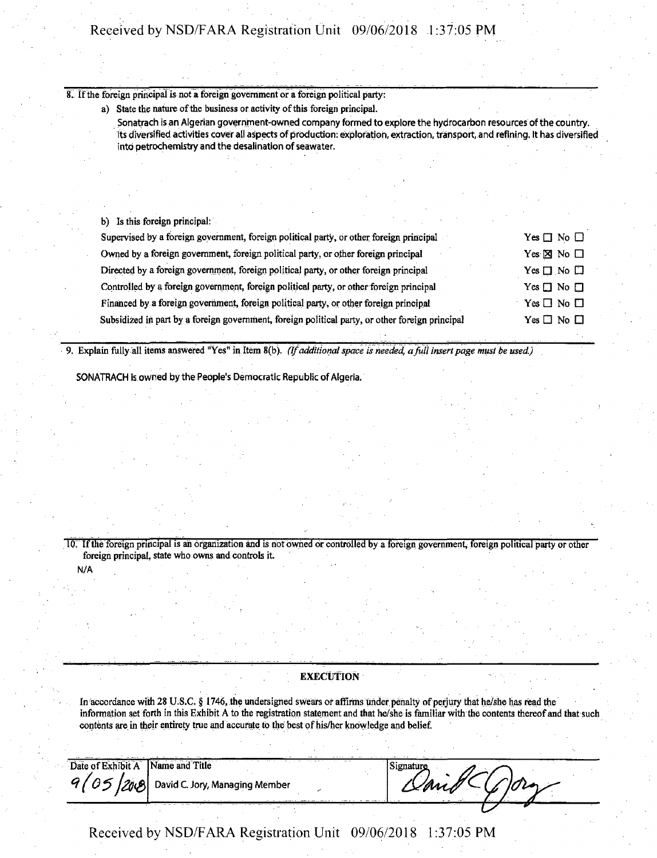**8. Ifthe foreign principal is not a foreign government or a foreign political party:**

a) State the nature of the business or activity of this foreign principal.

**Sonatrach is an Algerian government-owned company formed to explore the hydrocarbon resources of the country. Its diversified activities cover all aspects of production: exploration, extraction, transport, and refining. It has diversified into petrochemistry and the desalination ofseawater.**

**b) Is this foreign principal:**

| Supervised by a foreign government, foreign political party, or other foreign principal         | Yes $\Box$ No $\Box$      |
|-------------------------------------------------------------------------------------------------|---------------------------|
| Owned by a foreign government, foreign political party, or other foreign principal              | Yes $\boxtimes$ No $\Box$ |
| Directed by a foreign government, foreign political party, or other foreign principal           | Yes $\Box$ No $\Box$      |
| Controlled by a foreign government, foreign political party, or other foreign principal         | Yes $\Box$ No $\Box$      |
| Financed by a foreign government, foreign political party, or other foreign principal           | Yes $\Box$ No $\Box$      |
| Subsidized in part by a foreign government, foreign political party, or other foreign principal | Yes $\Box$ No $\Box$      |
|                                                                                                 |                           |

9. Explain fully all items answered "Yes" in Item 8(b). (If additional space is needed, a full insert page must be used.)

**SONATRACH is owned by the People's Democratic Republic of Algeria.**

10. If the foreign principal is an organization and is not owned or controlled by a foreign government, foreign political party or other **foreign principal, state who owns and controls it**

**EXECUTION** 

In accordance with 28 U.S.C. § 1746, the undersigned swears or affirms under penalty of perjury that he/she has read the information set forth in this Exhibit A to the registration statement and that he/she is familiar with the contents thereof and that such **contents are. in their entirety true and accurate to the best ofhis/her knowledge and belief.**

**Date ofExhibit A Name and Title** 05 **David C. Jory, Managing Member** 120.8

**N/A**

| $\sim$ 100 $\pm$ | ٠       |
|------------------|---------|
|                  | ۰.<br>w |
| ٠                |         |
|                  |         |
|                  |         |
|                  |         |
|                  | -       |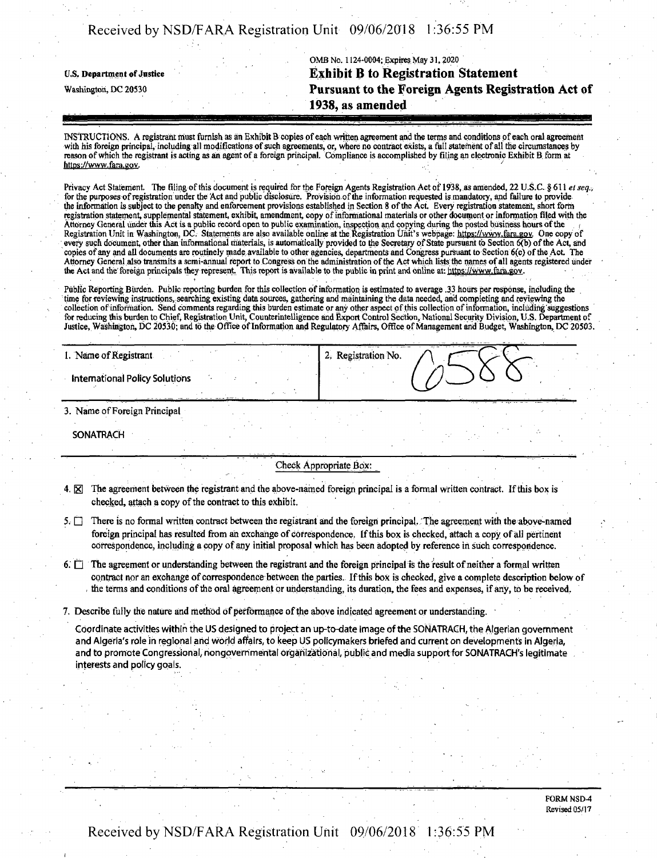OMB No. 1124-0004; Expires May 31,2020 **u.s. Department** of**Justice Exhibit B to Registration Statement** Washington, dc <sup>20530</sup> **Pursuant to the Foreign Agents Registration Act of 1938, as amended**

INSTRUCTIONS. A registrant must furnish as an Exhibit B copies ofeach written agreement and the terms and conditions of each oral agreement with his foreign principal, including all modifications of such agreements, or, where no contract exists, a full statement of all the circumstances by reason of which the registrant is acting as an agent of a foreign principal. Compliance is accomplished by filing an electronic Exhibit B form at https://www.fara.gov.

Privacy Act Statement. The filing ofthis document is required for the Foreign Agents Registration Act of 1938, as amended, 22 U.S.C. § 611 *et seq.,* for the purposes of registration under the Act and public disclosure. Provision of the information requested is mandatory, and failure to provide the information is subject to the penalty and enforcement provisions established in Section 8 ofthe Act Every registration statement, short form registration statement, supplemental statement, exhibit, amendment copy ofinformational materials or other document or information filed with the Attorney General under this Act is a public record open to public examination, inspection and copying during the posted business hours ofthe <sup>&</sup>lt; Registration Unit in Washington, DC. Statements are also available online at the Registration Unit's webpage: https://www.fara.gov. One copy of every such document, other than informational materials, is automatically provided to the Secretary of State pursuant to Section 6(b) of the Act, and copies of any and all documents are routinely made available to other agencies, departments and Congress pursuant to Section 6(c) ofthe Act. The Attorney General also transmits a semi-annual report to Congress on the administration ofthe Aqt which lists;the names ofall agents registered under the Act and the foreign principals they represent. This report is available to the public in print and online at: https://www.fara.gov.

Public Reporting Burden. Public reporting burden for this collection ofinformation is estimated to average .33 hours per response, including the time forreviewing instructions, searching existing data sources, gathering and maintaining the data needed, and completing and reviewing the collection of information. Send comments regarding this burden estimate or any other aspect of this collection of information, including suggestions for reducing this burden to Chief, Registration Unit, Counterintelligence and Export Control Section, National Security Division, U.S. Department of Justice, Washington, DC 20530; and to the Office of Information and Regulatory Affairs, Office of Management and Budget, Washington, DC 20503.

| 1. Name of Registrant                 | .<br>Registration No.<br> |
|---------------------------------------|---------------------------|
| <b>International Policy Solutions</b> |                           |

3. Name ofForeign Principal

**SONATRACH**

#### Check **Appropriate** Box:

- 4.  $\boxtimes$  The agreement between the registrant and the above-named foreign principal is a formal written contract. If this box is checked, attach a copy of the contract to this exhibit.
- $5.$  There is no formal written contract between the registrant and the foreign principal. The agreement with the above-named foreign principal has resulted from an exchange of correspondence. If this box is checked, attach a copy of all pertinent correspondence, including a copy of any initial proposal which has been adopted by reference in such correspondence.
- 6.  $\Box$  The agreement or understanding between the registrant and the foreign principal is the result of neither a formal written contract nor an exchange ofcorrespondence between the parties. Ifthis box is checked, give a complete description below of the terms and conditions of the oral agreement or understanding, its duration, the fees and expenses, if any, to be received.
- 7. Describe fully the nature and method of performance of the above indicated agreement or understanding.

**Coordinate activities within the US designed to project an up-to-date image ofthe SONATRACH, the Algerian government** and Algeria's role in regional and world affairs, to keep US policymakers briefed and current on developments in Algeria, **and to promote Congressional^ nongovernmental organizational, public and media support for SONATRACH's legitimate interests and policy goals.**

> FORM NSD4 Revised 05/17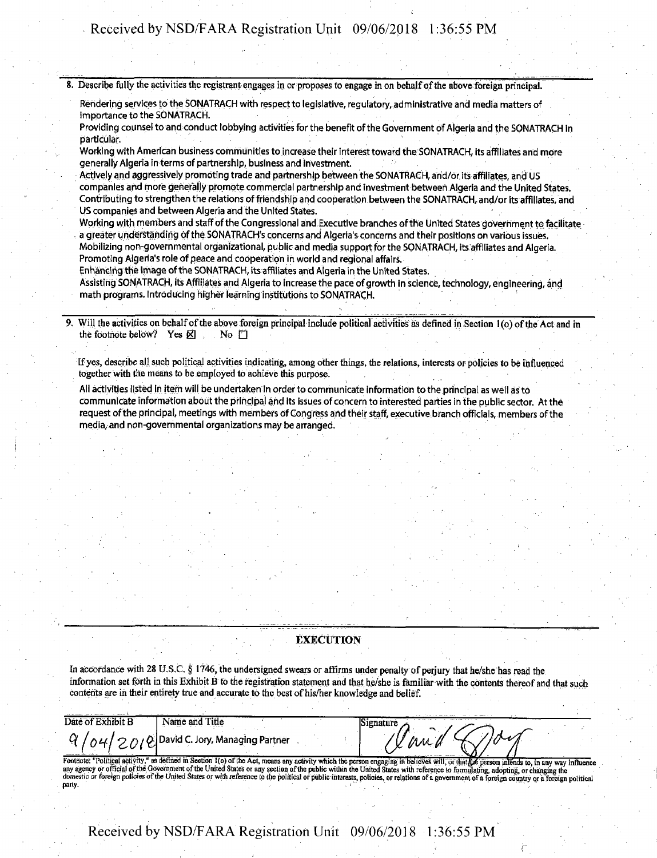8. Describe fully the activities the registrant engages in or proposes to engage in on behalf of the above foreign principal.

**Rendering services to the SONATRACH with respect to legislative, regulatory, administrative and media matters of Importance to the SONATRACH.**

Providing counsel to and conduct lobbying activities for the benefit of the Government of Algeria and the SONATRACH in **particular.**

**Working with American business communities to increase their interest toward the SONATRACH, its affiliates and more generally Algeria in terms of partnership, business and investment**

**Actively and aggressively promoting trade and partnership between the SONATRACH, and/or its affiliates, and US companies and more generally promote commercial partnership and investment between Algeria and the United States. Contributing to strengthen the relations of friendship and cooperation between the SONATRACH, and/or its affiliates, and US companies and between Algeria and the United States. \***

**Working with members and staff ofthe Congressional and Executive branches ofthe United States government to facilitate a greater understanding ofthe SONATRACH's concerns and Algeria's concerns and their positions on various issues. Mobilizing non-governmental organizational, public and media supportfor the SONATRACH, its affiliates and Algeria. Promoting Algeria's role of peace and cooperation in world and regional affairs.**

**Enhancing the image ofthe SONATRACH, its affiliates and Algeria in the United States.**

**Assisting SONATRACH, its Affiliates and Algeria to increase the pace of growth in science, technology, engineering, and math programs. Introducing higher learning institutions to SONATRACH.**

Will the activities on behalf of the above foreign principal include political activities as defined in Section 1(o) of the Act and in **the footnote below? Yes**  $\boxtimes$  **No D** 

If yes, describe all such political activities indicating, among other things, the relations, interests or policies to be influenced **together with the means to be employed to achieve this purpose.**

All activities listed in item will be undertaken in order to communicate information to the principal as well as to communicate information about the principal and its issues of concern to interested parties in the public sector. At the request of the principal, meetings with members of Congress and their staff, executive branch officials, members of the **media, and non-governmental organizations may be arranged.**

#### EXECUTION

In accordance with 28 U.S.C. § 1746, the undersigned swears or affirms under penalty of perjury that he/she has read the information set forth in this Exhibit B to the registration statement and that he/she is familiar with the contents thereof and that such **contents are in their entirety true and accurate to the best ofhis/her knowledge and belief.**

*Ohie*  $\alpha$  **C** *Z D Z Z D Z Q Z D Z Q Da*vid C. Jory, Managing Partner Date of Exhibit **B Name and Title Signature** 'l an a Footnote: "Political activity," as defined in Section 1(o) of the Act, means any activity which the person engaging in believes will, or that the person intends to, in any way influence<br>any agency or official of the Govern party.

**r**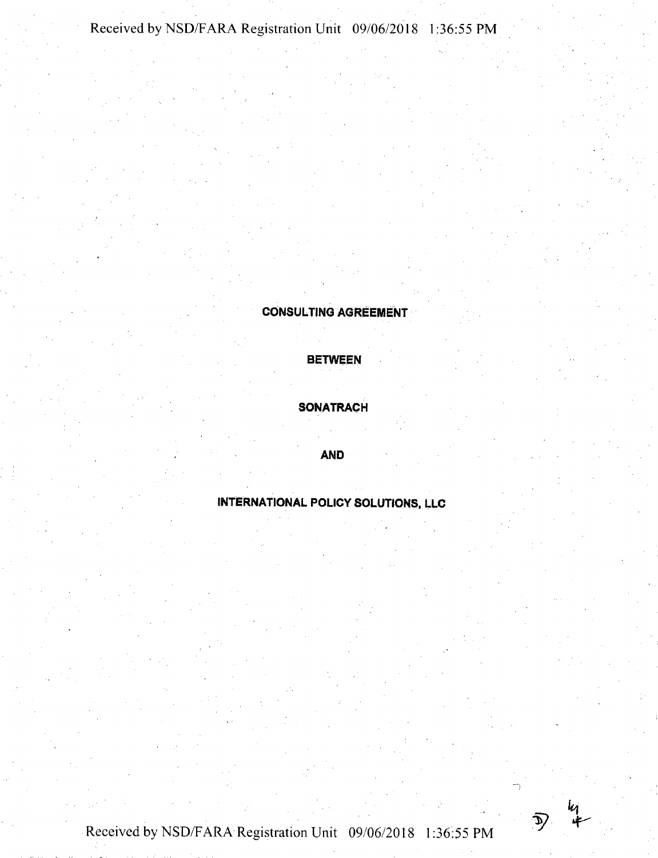# CONSULTING AGREEMENT

BETWEEN

# **SONATRACH**

# AND

# INTERNATIONAL POLICY SOLUTIONS, llc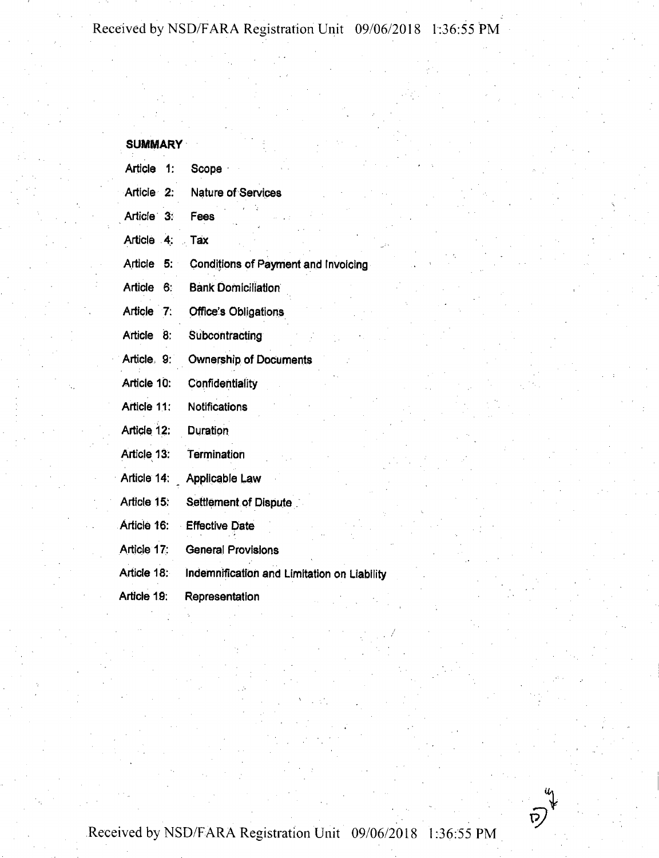| SUMMARY |  |
|---------|--|
|         |  |

| Article<br>1:        | Scope                                       |
|----------------------|---------------------------------------------|
| Article 2:           | <b>Nature of Services</b>                   |
| Article 3:           | Fees                                        |
| Article 4:           | Tax                                         |
| Article<br>5:        | Conditions of Payment and Invoicing         |
| <b>Article</b><br>6. | <b>Bank Domiciliation</b>                   |
| Article<br>- 7:      | <b>Office's Obligations</b>                 |
| Article<br>8.        | Subcontracting                              |
| Article, 9:          | <b>Ownership of Documents</b>               |
| Article 10:          | Confidentiality                             |
| Article 11:          | Notifications                               |
| Article 12:          | <b>Duration</b>                             |
| Article 13:          | Termination                                 |
| Article 14:          | Applicable Law                              |
| Article 15:          | Settlement of Dispute                       |
| Article 16:          | <b>Effective Date</b>                       |
| Article 17:          | <b>General Provisions</b>                   |
| Article 18:          | Indemnification and Limitation on Liability |
| Article 19:          | Representation                              |

Received by NSD/FARA Registration Unit 09/06/2018 1:36:55 PM

 $\bar{p}$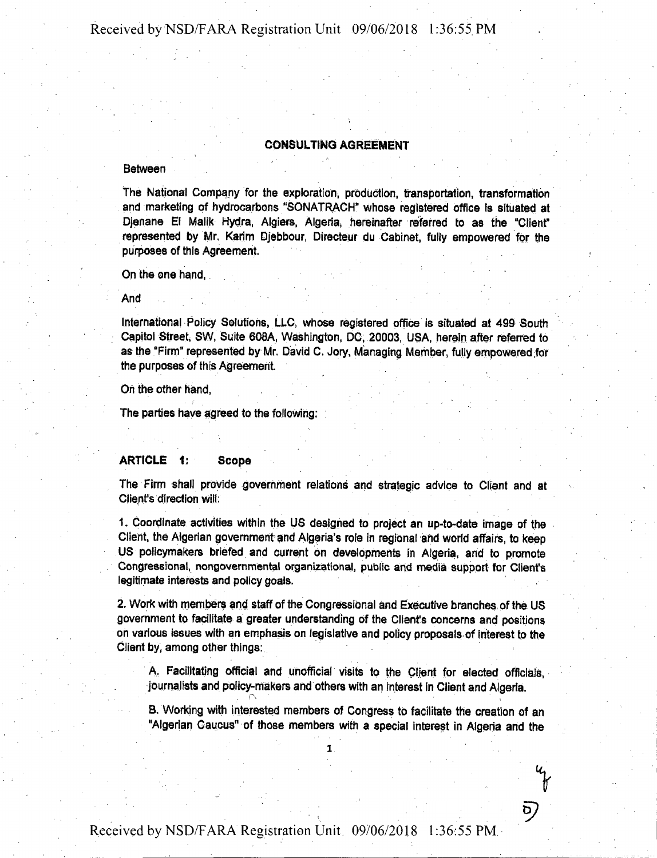#### CONSULTING AGREEMENT

#### **Between**

**the National Company for the exploration, production, transportation, transformation and marketing of hydrocarbons "SONATRACH" whose registered office Is situated at Djenane El Malik Hydra, Algiers, Algeria^ hereinafter referred to as the "Clienf represented by Mr. Karim Djebbour, Directeur du Cabinet, fully empowered for the purposes of this Agreement.**

**On the one hand,**

**And**

**International Policy Solutions, LLC, whose registered office is situated at 499 South Capitol Street, SW, Suite 608A, Washington, DC, 20003, USA, herein after referred to as the "Firm" represented by Mr. David C. Jory, Managing Member, fully empowered ;for the purposes of this Agreement**

**On the other hand,**

**The parties have agreed to the following:**

# ARTICLE 1; Scope

**The Firm shall provide government relations and strategic advice to Client and at Client's direction will:**

**1. Coordinate activities within the US designed to project an up-to-date image of the Client, the Algerian government and Algeria's role in regional and world affairs, to keep US policymakers briefed and current On developments in Algeria, and to promote Congressional, nongovernmental organizational, public and media support for Client's legitimate interests and policy goals.**

**2. Work with members and staff of the Congressional and Executive branches, ofthe US government to facilitate a greater understanding Of the Client's concerns and positions oh various issues with an emphasis on legislative and policy proposals of Interest to the Client by, among other things:**

**A, Facilitating official and unofficial visits to the Client for elected officials, journalists and policy-makers and others with an Interest In Client and Algeria.**

 $\mathsf{P}\mathsf{P}\left(\mathsf{P}\right)$  , the same of the set of the set of the set of the set of the set of the set of the set of the set of the set of the set of the set of the set of the set of the set of the set of the set of the set

ව)

**B. Working with interested members of Congress to facilitate the creation of an "Algerian Caucus" of those members with a special interest in Algeria and the**

 $\mathbf{1}$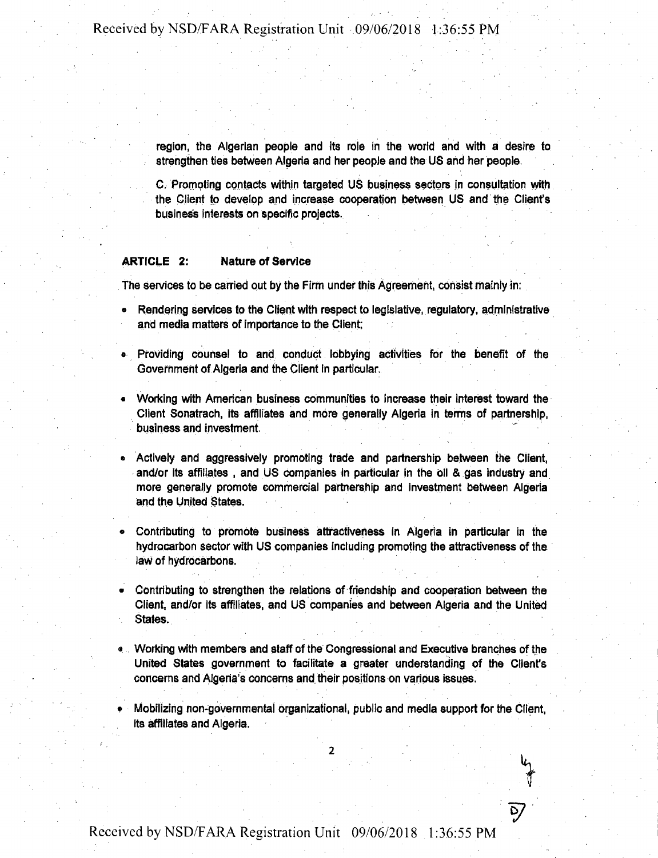**region, the Algerian people and its role in the world and with a desire to strengthen ties between Algeria and her people and the US and her people.**

**C.Promoting contacts within targeted US business sectors in consultation with the Client to develop and increase cooperation between US and the Client's business interests on specific projects.**

### ARTICLE 2: Nature of Service

**The services to be carried out by the Firm under this Agreement, consist mainly in:**

- **® Rendering services to the Client with respect to legislative, regulatory, administrative and media matters of importance to the Client:**
- **« Providing counsel to and conduct lobbying activities for the benefit of the Government of Algeria and the Client in particular.**
- **• Working with American business communities to increase their interest toward the Client Sonatrach, its affiliates and more generally Algeria in terms of partnership, business and investment.**
- **• Actively and aggressively promoting trade and partnership between the Client, and/or its affiliates , and US companies in particular in the oil & gas industry and more generally promote commercial partnership and investment between Algeria and the United States.**
- **« Contributing to promote business attractiveness in Algeria in particular in the hydrocarbon sector with US companies including promoting the attractiveness of the law of hydrocarbons.**
- **• Contributing to strengthen the relations of friendship and cooperation between the Client, and/or its affiliates, and US companies and between Algeria and the United States.**
- **a Working with members and staff of the Congressional and Executive branches of the United States government to facilitate a greater understanding of the Client's concerns and Algeria's concerns and their positions on various issues.**
- **• Mobilizing non-governmental organizational, public and media support for the Client, its affiliates and Algeria.**

**2**

*V*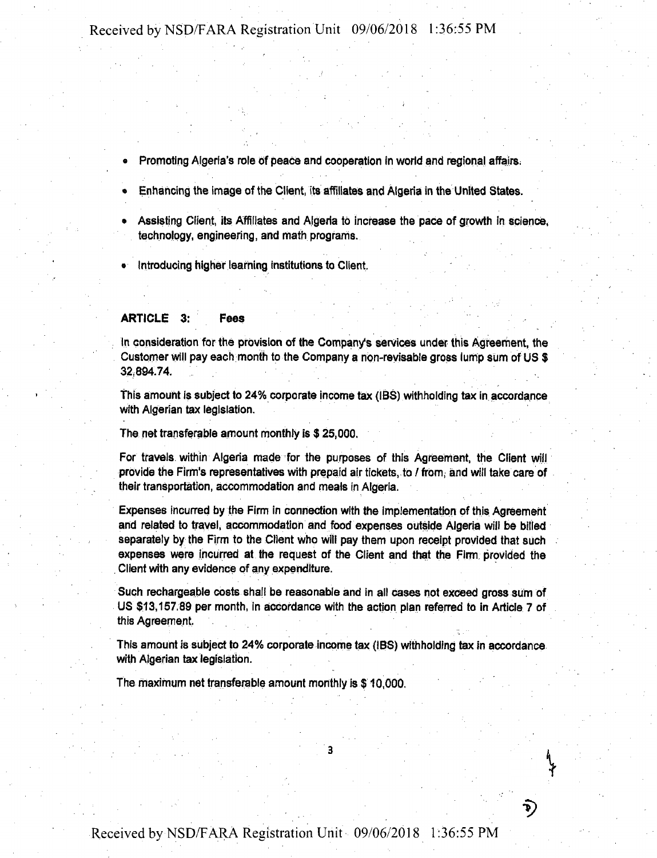- Promoting Algeria's role of peace and cooperation in world and regional affairs,
- Enhancing the image of the Client, its affiliates and Algeria in the United States.
- Assisting Client, its Affiliates and Algeria to increase the pace of growth in science, technology, engineering, and math programs.
- Introducing higher learning institutions to Client,

#### ARTICLE 3: Fees

In consideration for the provision of the Company's services under this Agreement, the Customer will pay each month to the Company a non-revisable gross lump sum of US \$ 32,894.74.

This amount is subject to 24% corporate income tax (IBS) withholding tax in.accordance with Algerian tax legislation.

The net transferable amount monthly is \$ 25,000.

For travels within Algeria made for the purposes of this Agreement, the Client will provide the Firm's representatives with prepaid air tickets, to / from, and will take care of their transportation, accommodation and meals in Algeria.

Expenses incurred by the Firm in connection with the implementation of this Agreement and related to travel, accommodation and food expenses outside Algeria will be billed separately by the Firm to the Client who will pay them upon receipt provided that such expenses were incurred at the request of the Client and that the Firm provided the Client with any evidence of any expenditure.

Such rechargeable costs shall be reasonable and in all cases not exceed gross sum of US \$13,157.89 per month, in accordance with the action plan referred to in Article 7 of this Agreement,

This amount is subject to 24% corporate income tax (IBS) withholding tax in accordance with Algerian tax legislation.

The maximum net transferable amount monthly is \$ 10,000.

P)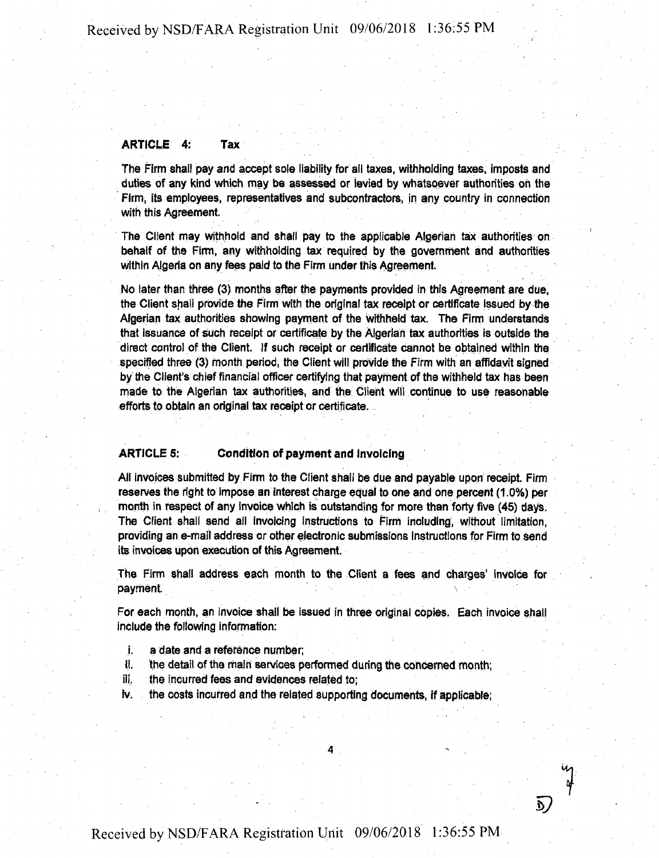#### ARTICLE 4: Tax

The Firm shall pay and accept sole liability for all taxes, withholding taxes, imposts and duties of any kind which may be assessed or levied by whatsoever authorities on the Firm, its employees, representatives and subcontractors, in any country in connection with this Agreement.

The Client may withhold and shall pay to the applicable Algerian tax authorities on behalf of the Firm, any withholding tax required by the government and authorities within Algeria on any fees paid to the Firm under this Agreement.

No later than three (3) months after the payments provided in this Agreement are due, the Client shall provide the Firm with the original tax receipt or certificate issued by the Algerian tax authorities showing payment of the withheld tax. The Firm understands that issuance of such receipt or certificate by the Algerian tax authorities is outside the direct control of the Client. If such receipt or certificate cannot be obtained within the specified three (3) month period, the Client will provide the Firm with an affidavit signed by the Client's chief financial officer certifying that payment of the withheld tax has been made to the Algerian tax authorities, and the Client will continue to use reasonable efforts to obtain an original tax receipt or certificate.

### ARTICLE 5; Condition of payment and invoicing

All invoices submitted by Firm to the Client shall be due and payable upon receipt. Firm reserves the right to impose an interest charge equal to one and one percent (1.0%) per month in respect of any invoice which is outstanding for more than forty five (45) days. The Client shall send ail invoicing instructions to Firm including, without limitation, providing an e-mail address or other electronic submissions instructions for Firm to send its invoices upon execution of this Agreement.

The Firm shall address each month to the Client a fees and charges' invoice for payment.

For each month, an invoice shall be issued in three original copies. Each invoice shall include the following information:

- i. a date and a reference number;
- ii. the detail of the main services performed during the concerned month;
- iii. the incurred fees and evidences related to;
- iv. the costs incurred and the related supporting documents, if applicable;

**4**

5**?**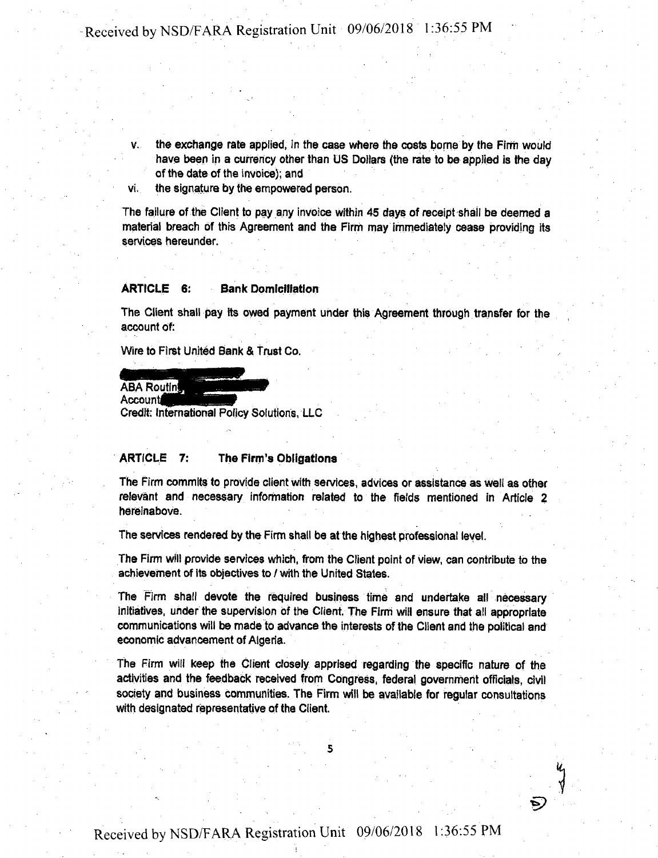- v. the exchange rate applied, in the case where the costs borne by the Firm would have been in a currency other than US Dollars (the rate to be applied is the day of the date of the invoice); and
- vi. the signature by the empowered person.

The failure of the Client to pay any invoice within 45 days of receipt shall be deemed a material breach of this Agreement and the Firm may immediately cease providing its services hereunder.

#### ARTICLE 6: Bank Domiciliation

The Client shall pay its owed payment under this Agreement through transfer for the account of:

Wire to First United Bank & Trust Co.

**ABA Routing** 

Account

Credit: International Policy Solutions, LLC

### ARTICLE 7: The Firm's Obligations

The Firm commits to provide client with services, advices or assistance as well as other relevant and necessary information related to the fields mentioned in Article 2 hereinabove.

The services rendered by the Firm shall be at the highest professional level.

The Firm will provide services which, from the Client point of view, can contribute to the achievement of its objectives to / with the United States.

The Firm shall devote the required business time and undertake all necessary initiatives, under the supervision of the Client, The Firm will ensure that all appropriate communications will be made to advance the interests of the Client and the political and economic advancement of Algeria.

The Firm will keep the Client closely apprised regarding the specific nature of the activities and the feedback received from Congress, federal government officials, civil society and business communities. The Firm will be available for regular consultations with designated representative of the Client.

**5**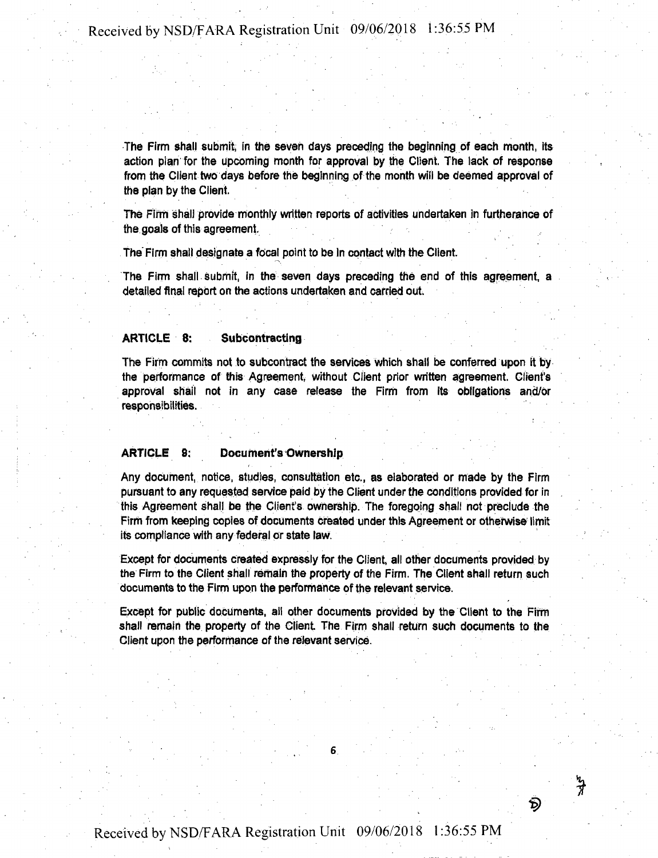The Firm shall submit, in the seven days preceding the beginning of each month, its action plan for the upcoming month for approval by the Client. The lack of response from the Client two days before the beginning of the month will be deemed approval of the plan by the Client.

The Firm shall provide monthly written reports of activities undertaken in furtherance of the goals of this agreement.

The Firm shall designate a focal point to be In contact with the Client.

The Firm shall Submit, in the seven days preceding the end of this agreement, a detailed final report on the actions undertaken and carried out.

#### ARTICLE 8: Subcontracting

The Firm commits not to subcontract the services which shall be conferred upon it by the performance of this Agreement, without Client prior written agreement. Client's approval shall not in any case release the Firm from its obligations and/or responsibilities.

### ARTICLE 8: Document's Ownership

Any document, notice, studies, consultation etc., as elaborated or made by the Firm pursuant to any requested service paid by the Client under the conditions provided for in this Agreement shall be the Client's ownership. The foregoing shall not preclude the Firm from keeping copies of documents Created under this Agreement or otherwise limit its compliance with any federal or state law.

Except for documents created expressly for the Client, all other documents provided by the Firm to the Client shall remain the property of the Firm. The Client shall return such documents to the Firm upon the performance of the relevant service.

Except for public documents, all other documents provided by the Client to the Firm shall remain the property of the Client. The Firm shall return such documents to the Client upon the performance of the relevant service.

**6**

চ্চ

りす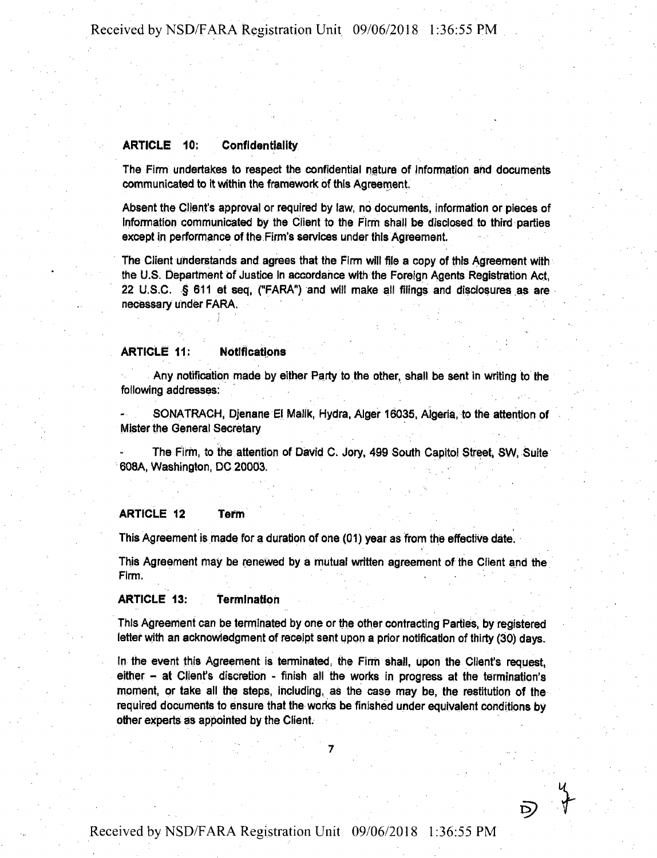### ARTICLE 10: Confidentiality

The Firm undertakes to respect the confidential nature of information and documents communicated to it within the framework of this Agreement.

Absent the Client's approval or required by law, no documents, information or pieces of Information communicated by the Client to hie Firm shall be disclosed to third parties except in performance of the Firm's services under this Agreement.

The Client understands and agrees that the Firm will file a copy of this Agreement with the U.S. Department of Justice In accordance with the Foreign Agents Registration Act, 22 U.S.C. § 611 et seq, ("FARA") and will make all filings and disclosures as are necessary under FARA.

#### ARTICLE 11: Notifications

Any notification made by either Party to the other, shall be sent in writing to the following addresses:

SONATRACH, Djenane El Malik, Hydra, Alger 16035, Algeria, to the attention of Mister the General Secretary

The Firm, to the attention of David C. Jory, 499 South Capitol Street, SW, Suite 608A, Washington, DC 20003.

### ARTICLE 12 Term

This Agreement is made for a duration of one (01) year as from the effective date.

This Agreement may be renewed by a mutual written agreement of the Client and the Firm.

### ARTICLE 13: Termination

This Agreement can be terminated by one or the other contracting Parties, by registered letter with an acknowledgment of receipt sent upon a prior notification of thirty (30) days.

In the event this Agreement is terminated, the Firm shall, upon the Client's request, either - at Client's discretion - finish all the works in progress at the termination's moment, or take ail the steps, including, as the case may be, the restitution of the required documents to ensure that the works be finished under equivalent conditions by other experts as appointed by the Client.

 $\mathcal{L} \left( \mathcal{L} \right)$  , where  $\mathcal{L} \left( \mathcal{L} \right)$ 

D)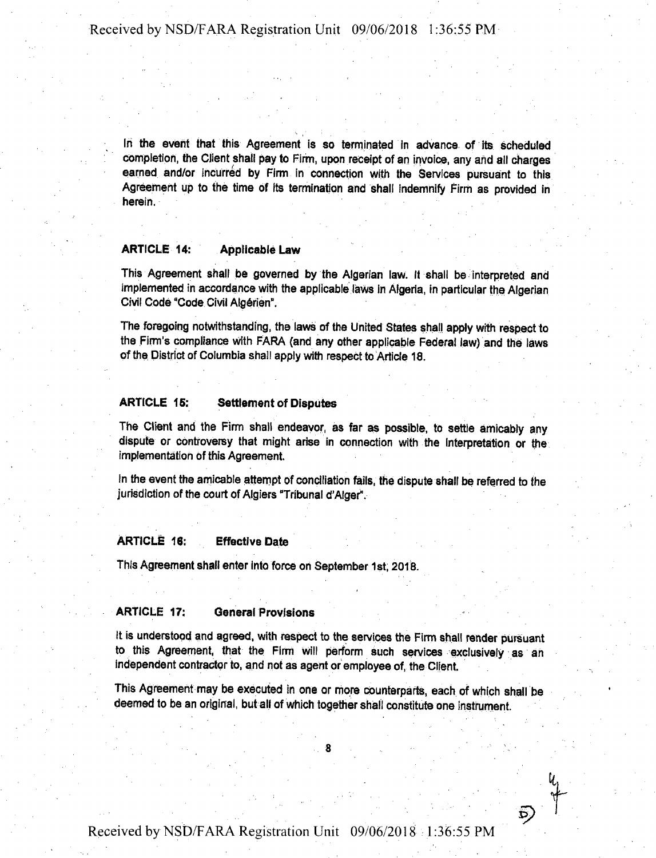In the event that this Agreement is so terminated in advance of its scheduled completion, the Client shall pay to Firm, upon receipt of an invoice, any and all charges earned and/or incurred by Firm in connection with the Services pursuant to this Agreement up to the time of its termination and shall indemnify Firm as provided in herein.

## ARTICLE 14: Applicable Law

This Agreement shall be governed by the Algerian law. It shall be interpreted and implemented in accordance with the applicable laws in Algeria, in particular the Algerian Civil Code "Code Civil Algerian".

The foregoing notwithstanding, the laws of the United States shall apply with respect to the Firm's compliance With FARA {and any other applicable Federal law) and the laws of the District of Columbia shall apply with respect to Article 18.

### ARTICLE 15: Settlement of Disputes

The Client and the Firm shall endeavor, as far as possible, to settle amicably any dispute or controversy that might arise in connection with the interpretation or the implementation of this Agreement.

In the event the amicable attempt of conciliation fails, the dispute shall be referred to the jurisdiction of the court of Algiers "Tribunal d'Alger".

## ARTICLE 16: Effective Date

This Agreement shall enter into force on September 1st, 2018.

### ARTICLE 17: General Provisions

It is understood and agreed, with respect to the services the Firm shall render pursuant to this Agreement, that the Firm will perform such services exclusively as an independent contractor to, and not as agent or employee of, the Client.

This Agreement may be executed in one or more counterparts, each of which shall be deemed to be an original, but all of which together shall constitute one instrument.

**8**

**x>**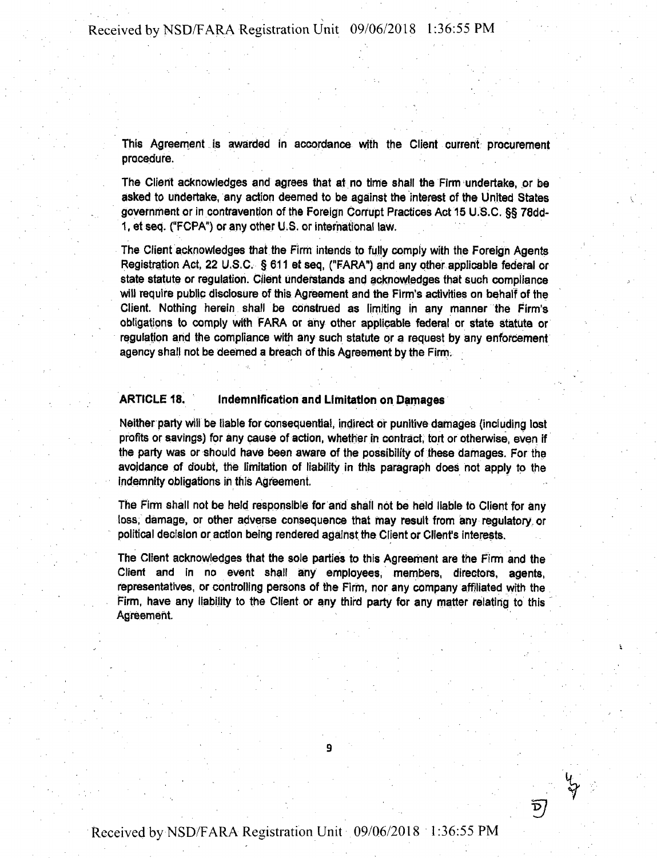This Agreement is awarded in accordance with the Client current procurement procedure.

The Client acknowledges and agrees that at no time shall the Firm undertake, or be asked to undertake, any action deemed to be against the interest of the United States government or in contravention of the Foreign Corrupt Practices Act 15 U.S.C. §§ 78dd-1, et seq. ("FCPA") or any other U.S. or international law.

The Client acknowledges that the Firm intends to fully comply with the Foreign Agents Registration Act, 22 U.S.C. § 611 et seq, ("FARA") and any other applicable federal or state statute or regulation. Client understands and acknowledges that such compliance will require public disclosure of this Agreement and the Firm's activities on behalf of the Client. Nothing herein shall be construed as limiting in any manner the Firm's obligations to comply with FARA or any other applicable federal or state statute or regulation and the compliance with any such statute or a request by any enforcement agency shall not be deemed a breach of this Agreement by the Firm.

### ARTICLE 18. Indemnification and Limitation on Damages

Neither party will be liable for consequential, indirect of punitive damages (including lost profits or savings) for any cause of action, whether in contract, tort or otherwise, even if the party was or should have been aware of the possibility of these damages. For the avoidance of doubt, the limitation of liability in this paragraph does not apply to the indemnity obligations in this Agreement.

The Firm shall not be held responsible for and shall not be held liable to Client for any loss, damage, or other adverse consequence that may result from any regulatory, or political decision or action being rendered against the Client or Client's interests.

The Client acknowledges that the sole parties to this Agreement are the Firm and the Client and in no event shall any employees, members, directors, agents, representatives, or controlling persons of the Firm, nor any company affiliated with the Firm, have any liability to the Client or any third party for any matter relating to this Agreement.

9

y.<br>Y

 $\overline{D}$